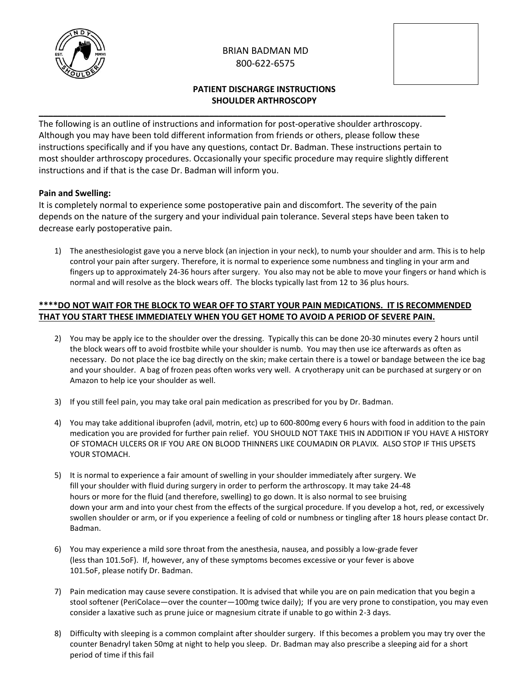

# BRIAN BADMAN MD 800-622-6575



# **PATIENT DISCHARGE INSTRUCTIONS SHOULDER ARTHROSCOPY**

The following is an outline of instructions and information for post-operative shoulder arthroscopy. Although you may have been told different information from friends or others, please follow these instructions specifically and if you have any questions, contact Dr. Badman. These instructions pertain to most shoulder arthroscopy procedures. Occasionally your specific procedure may require slightly different instructions and if that is the case Dr. Badman will inform you.

**\_\_\_\_\_\_\_\_\_\_\_\_\_\_\_\_\_\_\_\_\_\_\_\_\_\_\_\_\_\_\_\_\_\_\_\_\_\_\_\_\_\_\_\_\_\_\_\_\_\_\_\_\_\_\_\_\_\_\_\_\_\_\_\_\_\_\_\_\_\_\_\_\_\_\_\_\_\_\_\_\_\_\_\_\_\_**

## **Pain and Swelling:**

It is completely normal to experience some postoperative pain and discomfort. The severity of the pain depends on the nature of the surgery and your individual pain tolerance. Several steps have been taken to decrease early postoperative pain.

1) The anesthesiologist gave you a nerve block (an injection in your neck), to numb your shoulder and arm. This is to help control your pain after surgery. Therefore, it is normal to experience some numbness and tingling in your arm and fingers up to approximately 24-36 hours after surgery. You also may not be able to move your fingers or hand which is normal and will resolve as the block wears off. The blocks typically last from 12 to 36 plus hours.

### **\*\*\*\*DO NOT WAIT FOR THE BLOCK TO WEAR OFF TO START YOUR PAIN MEDICATIONS. IT IS RECOMMENDED THAT YOU START THESE IMMEDIATELY WHEN YOU GET HOME TO AVOID A PERIOD OF SEVERE PAIN.**

- 2) You may be apply ice to the shoulder over the dressing. Typically this can be done 20-30 minutes every 2 hours until the block wears off to avoid frostbite while your shoulder is numb. You may then use ice afterwards as often as necessary. Do not place the ice bag directly on the skin; make certain there is a towel or bandage between the ice bag and your shoulder. A bag of frozen peas often works very well. A cryotherapy unit can be purchased at surgery or on Amazon to help ice your shoulder as well.
- 3) If you still feel pain, you may take oral pain medication as prescribed for you by Dr. Badman.
- 4) You may take additional ibuprofen (advil, motrin, etc) up to 600-800mg every 6 hours with food in addition to the pain medication you are provided for further pain relief. YOU SHOULD NOT TAKE THIS IN ADDITION IF YOU HAVE A HISTORY OF STOMACH ULCERS OR IF YOU ARE ON BLOOD THINNERS LIKE COUMADIN OR PLAVIX. ALSO STOP IF THIS UPSETS YOUR STOMACH.
- 5) It is normal to experience a fair amount of swelling in your shoulder immediately after surgery. We fill your shoulder with fluid during surgery in order to perform the arthroscopy. It may take 24-48 hours or more for the fluid (and therefore, swelling) to go down. It is also normal to see bruising down your arm and into your chest from the effects of the surgical procedure. If you develop a hot, red, or excessively swollen shoulder or arm, or if you experience a feeling of cold or numbness or tingling after 18 hours please contact Dr. Badman.
- 6) You may experience a mild sore throat from the anesthesia, nausea, and possibly a low-grade fever (less than 101.5oF). If, however, any of these symptoms becomes excessive or your fever is above 101.5oF, please notify Dr. Badman.
- 7) Pain medication may cause severe constipation. It is advised that while you are on pain medication that you begin a stool softener (PeriColace—over the counter—100mg twice daily); If you are very prone to constipation, you may even consider a laxative such as prune juice or magnesium citrate if unable to go within 2-3 days.
- 8) Difficulty with sleeping is a common complaint after shoulder surgery. If this becomes a problem you may try over the counter Benadryl taken 50mg at night to help you sleep. Dr. Badman may also prescribe a sleeping aid for a short period of time if this fail